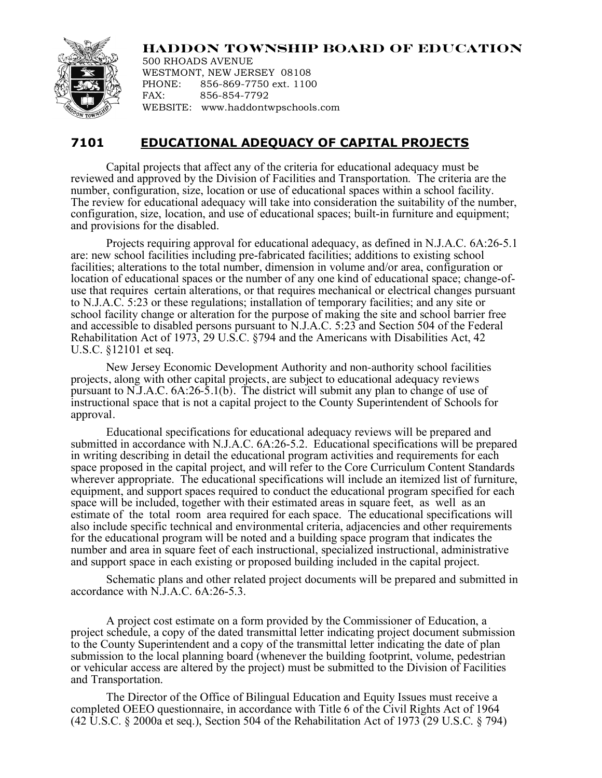

**HADDON TOWNSHIP BOARD OF EDUCATION**

500 RHOADS AVENUE WESTMONT, NEW JERSEY 08108 PHONE: 856-869-7750 ext. 1100 FAX: 856-854-7792 WEBSITE: www.haddontwpschools.com

## **7101 EDUCATIONAL ADEQUACY OF CAPITAL PROJECTS**

Capital projects that affect any of the criteria for educational adequacy must be reviewed and approved by the Division of Facilities and Transportation. The criteria are the number, configuration, size, location or use of educational spaces within a school facility. The review for educational adequacy will take into consideration the suitability of the number, configuration, size, location, and use of educational spaces; built-in furniture and equipment; and provisions for the disabled.

Projects requiring approval for educational adequacy, as defined in N.J.A.C. 6A:26-5.1 are: new school facilities including pre-fabricated facilities; additions to existing school facilities; alterations to the total number, dimension in volume and/or area, configuration or location of educational spaces or the number of any one kind of educational space; change-of- use that requires certain alterations, or that requires mechanical or electrical changes pursuant to N.J.A.C. 5:23 or these regulations; installation of temporary facilities; and any site or school facility change or alteration for the purpose of making the site and school barrier free and accessible to disabled persons pursuant to N.J.A.C. 5:23 and Section 504 of the Federal Rehabilitation Act of 1973, 29 U.S.C. §794 and the Americans with Disabilities Act, 42 U.S.C. §12101 et seq.

New Jersey Economic Development Authority and non-authority school facilities projects, along with other capital projects, are subject to educational adequacy reviews pursuant to N.J.A.C. 6A:26-5.1(b). The district will submit any plan to change of use of instructional space that is not a capital project to the County Superintendent of Schools for approval.

Educational specifications for educational adequacy reviews will be prepared and submitted in accordance with N.J.A.C. 6A:26-5.2. Educational specifications will be prepared in writing describing in detail the educational program activities and requirements for each space proposed in the capital project, and will refer to the Core Curriculum Content Standards wherever appropriate. The educational specifications will include an itemized list of furniture, equipment, and support spaces required to conduct the educational program specified for each space will be included, together with their estimated areas in square feet, as well as an estimate of the total room area required for each space. The educational specifications will also include specific technical and environmental criteria, adjacencies and other requirements for the educational program will be noted and a building space program that indicates the number and area in square feet of each instructional, specialized instructional, administrative and support space in each existing or proposed building included in the capital project.

Schematic plans and other related project documents will be prepared and submitted in accordance with N.J.A.C. 6A:26-5.3.

A project cost estimate on a form provided by the Commissioner of Education, a project schedule, a copy of the dated transmittal letter indicating project document submission to the County Superintendent and a copy of the transmittal letter indicating the date of plan submission to the local planning board (whenever the building footprint, volume, pedestrian or vehicular access are altered by the project) must be submitted to the Division of Facilities and Transportation.

The Director of the Office of Bilingual Education and Equity Issues must receive a completed OEEO questionnaire, in accordance with Title 6 of the Civil Rights Act of 1964 (42 U.S.C. § 2000a et seq.), Section 504 of the Rehabilitation Act of 1973 (29 U.S.C. § 794)